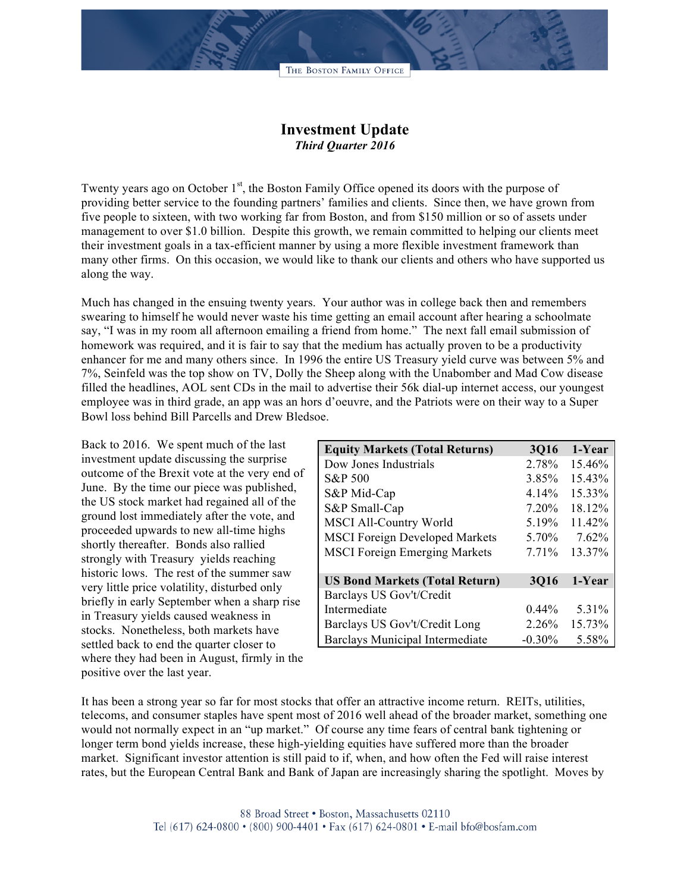## **Investment Update** *Third Quarter 2016*

Twenty years ago on October  $1<sup>st</sup>$ , the Boston Family Office opened its doors with the purpose of providing better service to the founding partners' families and clients. Since then, we have grown from five people to sixteen, with two working far from Boston, and from \$150 million or so of assets under management to over \$1.0 billion. Despite this growth, we remain committed to helping our clients meet their investment goals in a tax-efficient manner by using a more flexible investment framework than many other firms. On this occasion, we would like to thank our clients and others who have supported us along the way.

Much has changed in the ensuing twenty years. Your author was in college back then and remembers swearing to himself he would never waste his time getting an email account after hearing a schoolmate say, "I was in my room all afternoon emailing a friend from home." The next fall email submission of homework was required, and it is fair to say that the medium has actually proven to be a productivity enhancer for me and many others since. In 1996 the entire US Treasury yield curve was between 5% and 7%, Seinfeld was the top show on TV, Dolly the Sheep along with the Unabomber and Mad Cow disease filled the headlines, AOL sent CDs in the mail to advertise their 56k dial-up internet access, our youngest employee was in third grade, an app was an hors d'oeuvre, and the Patriots were on their way to a Super Bowl loss behind Bill Parcells and Drew Bledsoe.

Back to 2016. We spent much of the last investment update discussing the surprise outcome of the Brexit vote at the very end of June. By the time our piece was published, the US stock market had regained all of the ground lost immediately after the vote, and proceeded upwards to new all-time highs shortly thereafter. Bonds also rallied strongly with Treasury yields reaching historic lows. The rest of the summer saw very little price volatility, disturbed only briefly in early September when a sharp rise in Treasury yields caused weakness in stocks. Nonetheless, both markets have settled back to end the quarter closer to where they had been in August, firmly in the positive over the last year.

| <b>Equity Markets (Total Returns)</b> | <b>3Q16</b> | 1-Year |
|---------------------------------------|-------------|--------|
| Dow Jones Industrials                 | 2.78%       | 15.46% |
| S&P 500                               | 3.85%       | 15.43% |
| S&P Mid-Cap                           | 4.14%       | 15.33% |
| S&P Small-Cap                         | $7.20\%$    | 18.12% |
| <b>MSCI All-Country World</b>         | 5.19%       | 11.42% |
| <b>MSCI Foreign Developed Markets</b> | 5.70%       | 7.62%  |
| <b>MSCI</b> Foreign Emerging Markets  | 7.71%       | 13.37% |
| <b>US Bond Markets (Total Return)</b> | <b>3Q16</b> | 1-Year |
| Barclays US Gov't/Credit              |             |        |
| Intermediate                          | $0.44\%$    | 5.31%  |
| Barclays US Gov't/Credit Long         | 2.26%       | 15.73% |
| Barclays Municipal Intermediate       | $-0.30\%$   | 5.58%  |

It has been a strong year so far for most stocks that offer an attractive income return. REITs, utilities, telecoms, and consumer staples have spent most of 2016 well ahead of the broader market, something one would not normally expect in an "up market." Of course any time fears of central bank tightening or longer term bond yields increase, these high-yielding equities have suffered more than the broader market. Significant investor attention is still paid to if, when, and how often the Fed will raise interest rates, but the European Central Bank and Bank of Japan are increasingly sharing the spotlight. Moves by